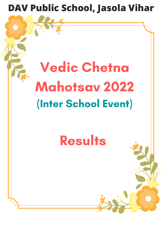

# Vedic Chetna Mahotsav 2022 (Inter School Event)

## **Results**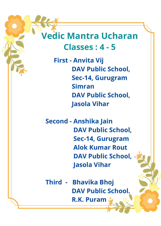#### **Vedic Mantra Ucharan Classes : 4 - 5**

**First - Anvita Vij DAV Public School, Sec-14, Gurugram Simran DAV Public School, Jasola Vihar**

 **Second - Anshika Jain DAV Public School, Sec-14, Gurugram Alok Kumar Rout DAV Public School, Jasola Vihar**

 **Third - Bhavika Bhoj DAV Public School. R.K. Puram**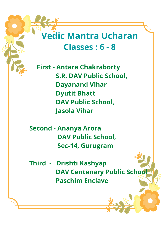#### **Vedic Mantra Ucharan Classes : 6 - 8**

**First - Antara Chakraborty S.R. DAV Public School, Dayanand Vihar Dyutit Bhatt DAV Public School, Jasola Vihar**

 **Second - Ananya Arora DAV Public School, Sec-14, Gurugram**

 **Third - Drishti Kashyap DAV Centenary Public School Paschim Enclave**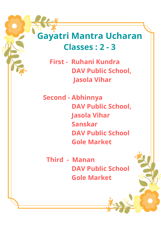#### **Gayatri Mantra Ucharan Classes : 2 - 3**

 **First - Ruhani Kundra DAV Public School, Jasola Vihar**

 **Second - Abhinnya DAV Public School, Jasola Vihar Sanskar DAV Public School Gole Market**

 **Third - Manan DAV Public School Gole Market**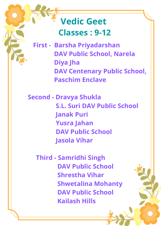#### **Vedic Geet Classes : 9-12**

**First - Barsha Priyadarshan DAV Public School, Narela Diya Jha DAV Centenary Public School, Paschim Enclave**

 **Second - Dravya Shukla S.L. Suri DAV Public School Janak Puri Yusra Jahan DAV Public School Jasola Vihar**

 **Third - Samridhi Singh DAV Public School Shrestha Vihar Shwetalina Mohanty DAV Public School Kailash Hills**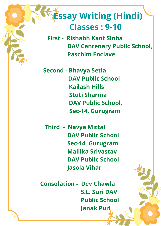#### **Essay Writing (Hindi) Classes : 9-10**

**First - Rishabh Kant Sinha DAV Centenary Public School, Paschim Enclave**

**Second - Bhavya Setia DAV Public School Kailash Hills Stuti Sharma DAV Public School, Sec-14, Gurugram**

**Third - Navya Mittal DAV Public School Sec-14, Gurugram Mallika Srivastav DAV Public School Jasola Vihar**

**Consolation - Dev Chawla S.L. Suri DAV Public School Janak Puri**